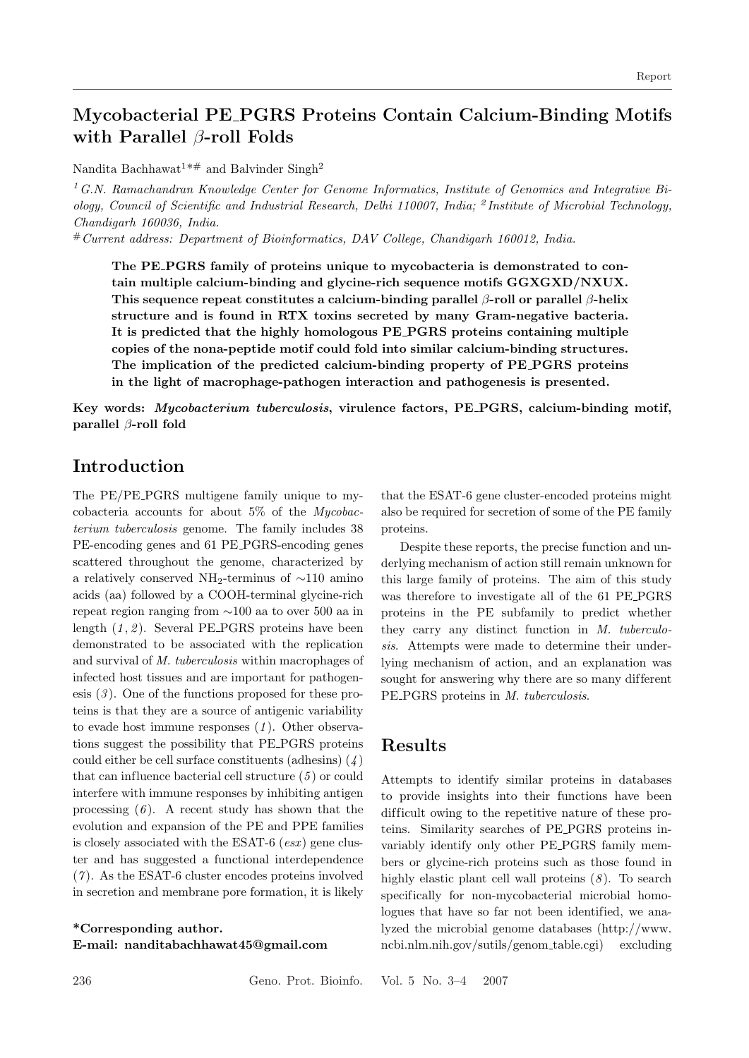# **Mycobacterial PE PGRS Proteins Contain Calcium-Binding Motifs with Parallel** β**-roll Folds**

Nandita Bachhawat<sup>1\*#</sup> and Balvinder Singh<sup>2</sup>

<sup>1</sup>*G.N. Ramachandran Knowledge Center for Genome Informatics, Institute of Genomics and Integrative Biology, Council of Scientific and Industrial Research, Delhi 110007, India;* <sup>2</sup> *Institute of Microbial Technology, Chandigarh 160036, India.*

#*Current address: Department of Bioinformatics, DAV College, Chandigarh 160012, India.*

**The PE PGRS family of proteins unique to mycobacteria is demonstrated to contain multiple calcium-binding and glycine-rich sequence motifs GGXGXD/NXUX. This sequence repeat constitutes a calcium-binding parallel** β**-roll or parallel** β**-helix structure and is found in RTX toxins secreted by many Gram-negative bacteria. It is predicted that the highly homologous PE PGRS proteins containing multiple copies of the nona-peptide motif could fold into similar calcium-binding structures. The implication of the predicted calcium-binding property of PE PGRS proteins in the light of macrophage-pathogen interaction and pathogenesis is presented.**

**Key words:** *Mycobacterium tuberculosis***, virulence factors, PE PGRS, calcium-binding motif, parallel** β**-roll fold**

### **Introduction**

The PE/PE\_PGRS multigene family unique to mycobacteria accounts for about 5% of the *Mycobacterium tuberculosis* genome. The family includes 38 PE-encoding genes and 61 PE PGRS-encoding genes scattered throughout the genome, characterized by a relatively conserved NH2-terminus of ∼110 amino acids (aa) followed by a COOH-terminal glycine-rich repeat region ranging from ∼100 aa to over 500 aa in length  $(1, 2)$ . Several PE\_PGRS proteins have been demonstrated to be associated with the replication and survival of *M. tuberculosis* within macrophages of infected host tissues and are important for pathogenesis (*3* ). One of the functions proposed for these proteins is that they are a source of antigenic variability to evade host immune responses (*1* ). Other observations suggest the possibility that PE PGRS proteins could either be cell surface constituents (adhesins) (*4* ) that can influence bacterial cell structure (*5* ) or could interfere with immune responses by inhibiting antigen processing  $(6)$ . A recent study has shown that the evolution and expansion of the PE and PPE families is closely associated with the ESAT-6 (*esx* ) gene cluster and has suggested a functional interdependence (*7* ). As the ESAT-6 cluster encodes proteins involved in secretion and membrane pore formation, it is likely

#### **\*Corresponding author. E-mail: nanditabachhawat45@gmail.com**

that the ESAT-6 gene cluster-encoded proteins might also be required for secretion of some of the PE family proteins.

Despite these reports, the precise function and underlying mechanism of action still remain unknown for this large family of proteins. The aim of this study was therefore to investigate all of the 61 PE PGRS proteins in the PE subfamily to predict whether they carry any distinct function in *M. tuberculosis*. Attempts were made to determine their underlying mechanism of action, and an explanation was sought for answering why there are so many different PE PGRS proteins in *M. tuberculosis*.

### **Results**

Attempts to identify similar proteins in databases to provide insights into their functions have been difficult owing to the repetitive nature of these proteins. Similarity searches of PE PGRS proteins invariably identify only other PE PGRS family members or glycine-rich proteins such as those found in highly elastic plant cell wall proteins (*8* ). To search specifically for non-mycobacterial microbial homologues that have so far not been identified, we analyzed the microbial genome databases (http://www. ncbi.nlm.nih.gov/sutils/genom table.cgi) excluding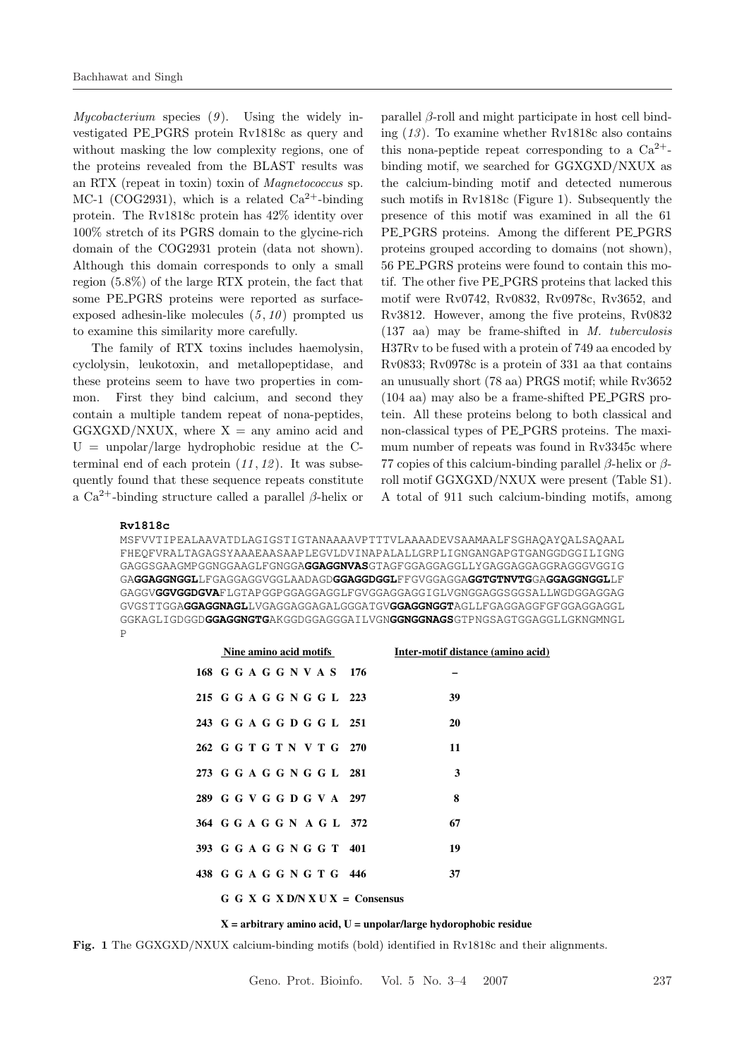*Mycobacterium* species (*9* ). Using the widely investigated PE PGRS protein Rv1818c as query and without masking the low complexity regions, one of the proteins revealed from the BLAST results was an RTX (repeat in toxin) toxin of *Magnetococcus* sp. MC-1 (COG2931), which is a related  $Ca^{2+}$ -binding protein. The Rv1818c protein has 42% identity over 100% stretch of its PGRS domain to the glycine-rich domain of the COG2931 protein (data not shown). Although this domain corresponds to only a small region (5.8%) of the large RTX protein, the fact that some PE PGRS proteins were reported as surfaceexposed adhesin-like molecules  $(5, 10)$  prompted us to examine this similarity more carefully.

The family of RTX toxins includes haemolysin, cyclolysin, leukotoxin, and metallopeptidase, and these proteins seem to have two properties in common. First they bind calcium, and second they contain a multiple tandem repeat of nona-peptides,  $GGXGXD/NXUX$ , where  $X = \text{any amino acid and}$  $U = \text{unpolar}/\text{large}$  hydrophobic residue at the Cterminal end of each protein (*11* , *12* ). It was subsequently found that these sequence repeats constitute a Ca<sup>2+</sup>-binding structure called a parallel  $\beta$ -helix or

parallel  $\beta$ -roll and might participate in host cell binding (*13* ). To examine whether Rv1818c also contains this nona-peptide repeat corresponding to a  $Ca^{2+}$ binding motif, we searched for GGXGXD/NXUX as the calcium-binding motif and detected numerous such motifs in Rv1818c (Figure 1). Subsequently the presence of this motif was examined in all the 61 PE PGRS proteins. Among the different PE PGRS proteins grouped according to domains (not shown), 56 PE PGRS proteins were found to contain this motif. The other five PE PGRS proteins that lacked this motif were Rv0742, Rv0832, Rv0978c, Rv3652, and Rv3812. However, among the five proteins, Rv0832 (137 aa) may be frame-shifted in *M. tuberculosis* H37Rv to be fused with a protein of 749 aa encoded by Rv0833; Rv0978c is a protein of 331 aa that contains an unusually short (78 aa) PRGS motif; while Rv3652 (104 aa) may also be a frame-shifted PE PGRS protein. All these proteins belong to both classical and non-classical types of PE PGRS proteins. The maximum number of repeats was found in Rv3345c where 77 copies of this calcium-binding parallel  $\beta$ -helix or  $\beta$ roll motif GGXGXD/NXUX were present (Table S1). A total of 911 such calcium-binding motifs, among

#### **Rv1818c**

MSFVVTIPEALAAVATDLAGIGSTIGTANAAAAVPTTTVLAAAADEVSAAMAALFSGHAQAYQALSAQAAL FHEQFVRALTAGAGSYAAAEAASAAPLEGVLDVINAPALALLGRPLIGNGANGAPGTGANGGDGGILIGNG GAGGSGAAGMPGGNGGAAGLFGNGGA**GGAGGNVAS**GTAGFGGAGGAGGLLYGAGGAGGAGGRAGGGVGGIG GA**GGAGGNGGL**LFGAGGAGGVGGLAADAGD**GGAGGDGGL**FFGVGGAGGA**GGTGTNVTG**GA**GGAGGNGGL**LF GAGGV**GGVGGDGVA**FLGTAPGGPGGAGGAGGLFGVGGAGGAGGIGLVGNGGAGGSGGSALLWGDGGAGGAG GVGSTTGGA**GGAGGNAGL**LVGAGGAGGAGALGGGATGV**GGAGGNGGT**AGLLFGAGGAGGFGFGGAGGAGGL GGKAGLIGDGGD**GGAGGNGTG**AKGGDGGAGGGAILVGN**GGNGGNAGS**GTPNGSAGTGGAGGLLGKNGMNGL P

| Nine amino acid motifs            | Inter-motif distance (amino acid) |
|-----------------------------------|-----------------------------------|
| 168 G G A G G N V A S 176         |                                   |
| 215 G G A G G N G G L 223         | 39                                |
| 243 G G A G G D G G L 251         | 20                                |
| 262 G G T G T N V T G 270         | 11                                |
| 273 G G A G G N G G L 281         | 3                                 |
| 289 G G V G G D G V A 297         | 8                                 |
| 364 G G A G G N A G L 372         | 67                                |
| 393 G G A G G N G G T 401         | 19                                |
| 438 G G A G G N G T G 446         | 37                                |
| $G G X G X D/N X U X =$ Consensus |                                   |

#### **X = arbitrary amino acid, U = unpolar/large hydorophobic residue**

**Fig. 1** The GGXGXD/NXUX calcium-binding motifs (bold) identified in Rv1818c and their alignments.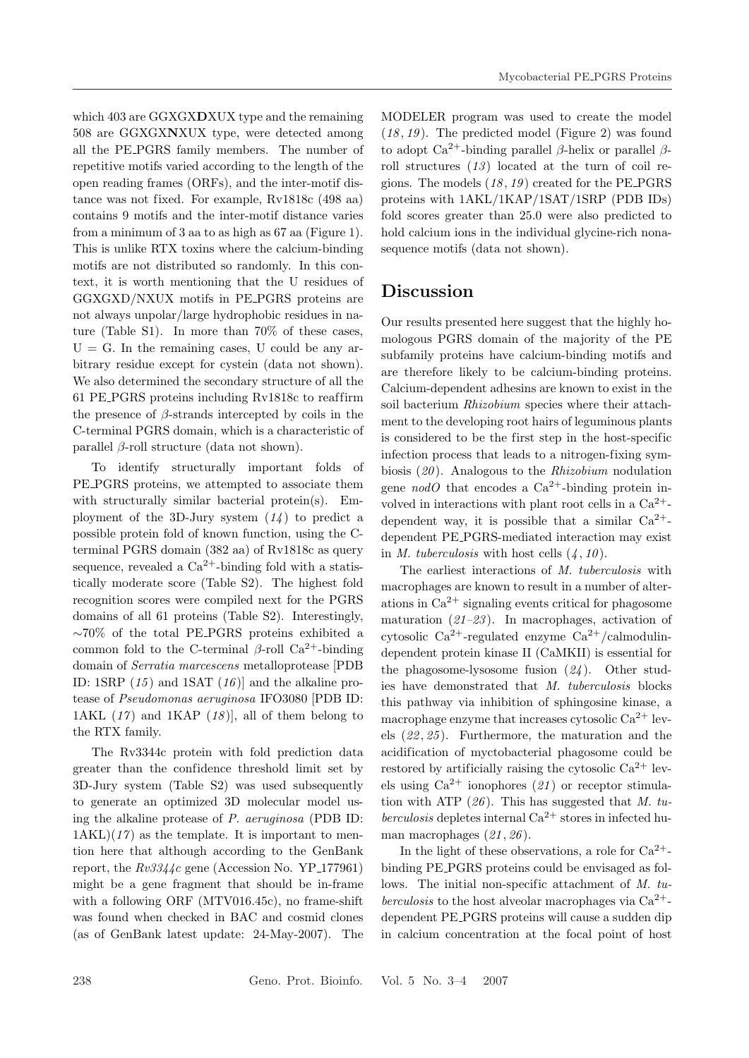which 403 are GGXGX**D**XUX type and the remaining 508 are GGXGX**N**XUX type, were detected among all the PE PGRS family members. The number of repetitive motifs varied according to the length of the open reading frames (ORFs), and the inter-motif distance was not fixed. For example, Rv1818c (498 aa) contains 9 motifs and the inter-motif distance varies from a minimum of 3 aa to as high as 67 aa (Figure 1). This is unlike RTX toxins where the calcium-binding motifs are not distributed so randomly. In this context, it is worth mentioning that the U residues of GGXGXD/NXUX motifs in PE PGRS proteins are not always unpolar/large hydrophobic residues in nature (Table S1). In more than 70% of these cases,  $U = G$ . In the remaining cases, U could be any arbitrary residue except for cystein (data not shown). We also determined the secondary structure of all the 61 PE PGRS proteins including Rv1818c to reaffirm the presence of  $\beta$ -strands intercepted by coils in the C-terminal PGRS domain, which is a characteristic of parallel β-roll structure (data not shown).

To identify structurally important folds of PE PGRS proteins, we attempted to associate them with structurally similar bacterial protein(s). Employment of the 3D-Jury system  $(14)$  to predict a possible protein fold of known function, using the Cterminal PGRS domain (382 aa) of Rv1818c as query sequence, revealed a  $Ca^{2+}$ -binding fold with a statistically moderate score (Table S2). The highest fold recognition scores were compiled next for the PGRS domains of all 61 proteins (Table S2). Interestingly, ∼70% of the total PE PGRS proteins exhibited a common fold to the C-terminal  $β$ -roll Ca<sup>2+</sup>-binding domain of *Serratia marcescens* metalloprotease [PDB ID: 1SRP (*15* ) and 1SAT (*16* )] and the alkaline protease of *Pseudomonas aeruginosa* IFO3080 [PDB ID: 1AKL (*17* ) and 1KAP (*18* )], all of them belong to the RTX family.

The Rv3344c protein with fold prediction data greater than the confidence threshold limit set by 3D-Jury system (Table S2) was used subsequently to generate an optimized 3D molecular model using the alkaline protease of *P. aeruginosa* (PDB ID:  $1AKL$  $(17)$  as the template. It is important to mention here that although according to the GenBank report, the  $Rv3344c$  gene (Accession No. YP<sub>-177961</sub>) might be a gene fragment that should be in-frame with a following ORF (MTV016.45c), no frame-shift was found when checked in BAC and cosmid clones (as of GenBank latest update: 24-May-2007). The

MODELER program was used to create the model (*18* , *19* ). The predicted model (Figure 2) was found to adopt  $Ca^{2+}$ -binding parallel β-helix or parallel βroll structures (*13* ) located at the turn of coil regions. The models (*18* , *19* ) created for the PE PGRS proteins with 1AKL/1KAP/1SAT/1SRP (PDB IDs) fold scores greater than 25.0 were also predicted to hold calcium ions in the individual glycine-rich nonasequence motifs (data not shown).

# **Discussion**

Our results presented here suggest that the highly homologous PGRS domain of the majority of the PE subfamily proteins have calcium-binding motifs and are therefore likely to be calcium-binding proteins. Calcium-dependent adhesins are known to exist in the soil bacterium *Rhizobium* species where their attachment to the developing root hairs of leguminous plants is considered to be the first step in the host-specific infection process that leads to a nitrogen-fixing symbiosis (*20* ). Analogous to the *Rhizobium* nodulation gene *nodO* that encodes a  $Ca^{2+}$ -binding protein involved in interactions with plant root cells in a  $Ca^{2+}$ dependent way, it is possible that a similar  $Ca^{2+}$ dependent PE PGRS-mediated interaction may exist in *M. tuberculosis* with host cells  $(4, 10)$ .

The earliest interactions of *M. tuberculosis* with macrophages are known to result in a number of alterations in  $Ca^{2+}$  signaling events critical for phagosome maturation (*21–23* ). In macrophages, activation of cytosolic  $Ca^{2+}$ -regulated enzyme  $Ca^{2+}/cal$ calmodulindependent protein kinase II (CaMKII) is essential for the phagosome-lysosome fusion (*24* ). Other studies have demonstrated that *M. tuberculosis* blocks this pathway via inhibition of sphingosine kinase, a macrophage enzyme that increases cytosolic  $Ca^{2+}$  levels (*22* , *25* ). Furthermore, the maturation and the acidification of myctobacterial phagosome could be restored by artificially raising the cytosolic  $Ca^{2+}$  levels using  $Ca^{2+}$  ionophores (21) or receptor stimulation with ATP (*26* ). This has suggested that *M. tuberculosis* depletes internal  $Ca^{2+}$  stores in infected human macrophages (*21* , *26* ).

In the light of these observations, a role for  $Ca^{2+}$ binding PE PGRS proteins could be envisaged as follows. The initial non-specific attachment of *M. tuberculosis* to the host alveolar macrophages via  $Ca^{2+}$ dependent PE PGRS proteins will cause a sudden dip in calcium concentration at the focal point of host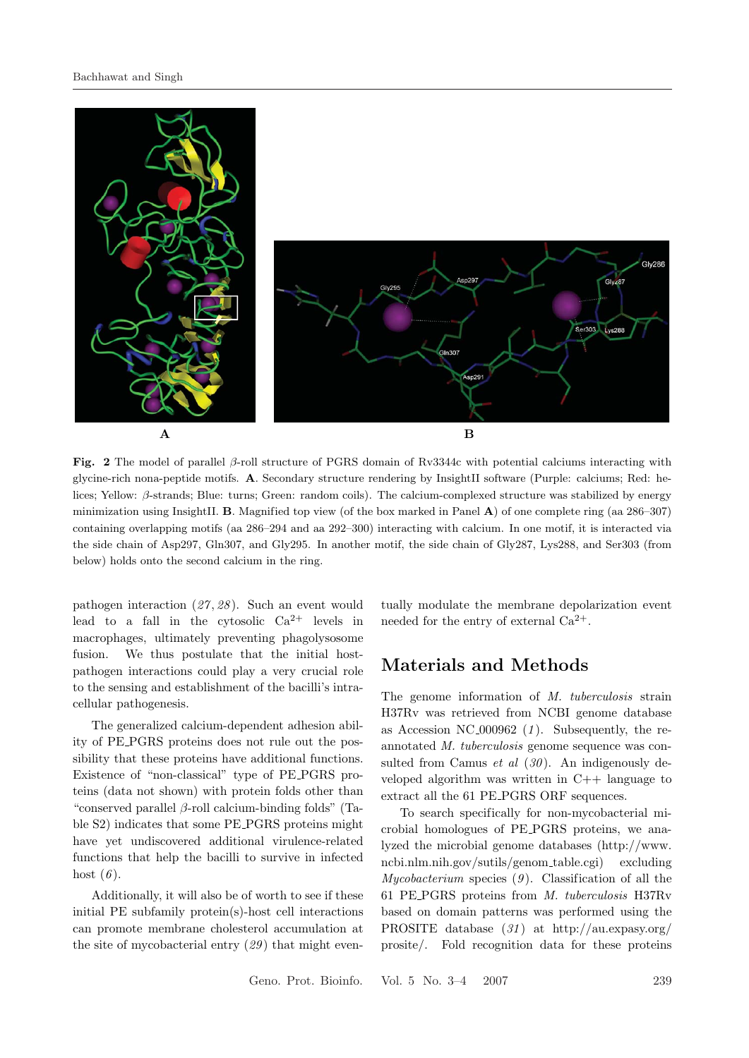

**Fig. 2** The model of parallel <sup>β</sup>-roll structure of PGRS domain of Rv3344c with potential calciums interacting with glycine-rich nona-peptide motifs. **A**. Secondary structure rendering by InsightII software (Purple: calciums; Red: helices; Yellow: β-strands; Blue: turns; Green: random coils). The calcium-complexed structure was stabilized by energy minimization using InsightII. **B**. Magnified top view (of the box marked in Panel **A**) of one complete ring (aa 286–307) containing overlapping motifs (aa 286–294 and aa 292–300) interacting with calcium. In one motif, it is interacted via the side chain of Asp297, Gln307, and Gly295. In another motif, the side chain of Gly287, Lys288, and Ser303 (from below) holds onto the second calcium in the ring.

pathogen interaction (*27* , *28* ). Such an event would lead to a fall in the cytosolic  $Ca^{2+}$  levels in macrophages, ultimately preventing phagolysosome fusion. We thus postulate that the initial hostpathogen interactions could play a very crucial role to the sensing and establishment of the bacilli's intracellular pathogenesis.

The generalized calcium-dependent adhesion ability of PE PGRS proteins does not rule out the possibility that these proteins have additional functions. Existence of "non-classical" type of PE PGRS proteins (data not shown) with protein folds other than "conserved parallel  $\beta$ -roll calcium-binding folds" (Table S2) indicates that some PE PGRS proteins might have yet undiscovered additional virulence-related functions that help the bacilli to survive in infected host (*6* ).

Additionally, it will also be of worth to see if these initial PE subfamily protein(s)-host cell interactions can promote membrane cholesterol accumulation at the site of mycobacterial entry (*29* ) that might eventually modulate the membrane depolarization event needed for the entry of external  $Ca^{2+}$ .

### **Materials and Methods**

The genome information of *M. tuberculosis* strain H37Rv was retrieved from NCBI genome database as Accession NC 000962 (*1* ). Subsequently, the reannotated *M. tuberculosis* genome sequence was consulted from Camus *et al* (*30* ). An indigenously developed algorithm was written in C++ language to extract all the 61 PE PGRS ORF sequences.

To search specifically for non-mycobacterial microbial homologues of PE PGRS proteins, we analyzed the microbial genome databases (http://www. ncbi.nlm.nih.gov/sutils/genom table.cgi) excluding *Mycobacterium* species (*9* ). Classification of all the 61 PE PGRS proteins from *M. tuberculosis* H37Rv based on domain patterns was performed using the PROSITE database (*31* ) at http://au.expasy.org/ prosite/. Fold recognition data for these proteins

Geno. Prot. Bioinfo. Vol. 5 No. 3–4 2007 239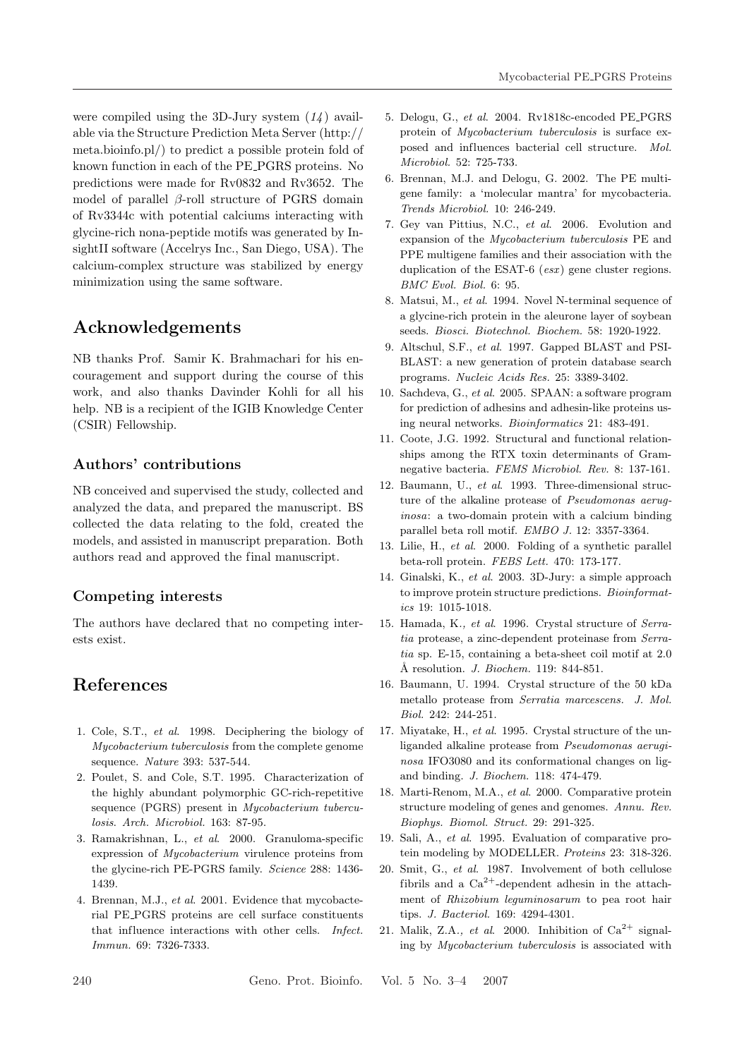were compiled using the 3D-Jury system (*14* ) available via the Structure Prediction Meta Server (http:// meta.bioinfo.pl/) to predict a possible protein fold of known function in each of the PE PGRS proteins. No predictions were made for Rv0832 and Rv3652. The model of parallel  $\beta$ -roll structure of PGRS domain of Rv3344c with potential calciums interacting with glycine-rich nona-peptide motifs was generated by InsightII software (Accelrys Inc., San Diego, USA). The calcium-complex structure was stabilized by energy minimization using the same software.

# **Acknowledgements**

NB thanks Prof. Samir K. Brahmachari for his encouragement and support during the course of this work, and also thanks Davinder Kohli for all his help. NB is a recipient of the IGIB Knowledge Center (CSIR) Fellowship.

### **Authors' contributions**

NB conceived and supervised the study, collected and analyzed the data, and prepared the manuscript. BS collected the data relating to the fold, created the models, and assisted in manuscript preparation. Both authors read and approved the final manuscript.

#### **Competing interests**

The authors have declared that no competing interests exist.

# **References**

- 1. Cole, S.T., *et al*. 1998. Deciphering the biology of *Mycobacterium tuberculosis* from the complete genome sequence. *Nature* 393: 537-544.
- 2. Poulet, S. and Cole, S.T. 1995. Characterization of the highly abundant polymorphic GC-rich-repetitive sequence (PGRS) present in *Mycobacterium tuberculosis*. *Arch. Microbiol.* 163: 87-95.
- 3. Ramakrishnan, L., *et al*. 2000. Granuloma-specific expression of *Mycobacterium* virulence proteins from the glycine-rich PE-PGRS family. *Science* 288: 1436- 1439.
- 4. Brennan, M.J., *et al*. 2001. Evidence that mycobacterial PE PGRS proteins are cell surface constituents that influence interactions with other cells. *Infect. Immun.* 69: 7326-7333.
- 5. Delogu, G., *et al*. 2004. Rv1818c-encoded PE PGRS protein of *Mycobacterium tuberculosis* is surface exposed and influences bacterial cell structure. *Mol. Microbiol.* 52: 725-733.
- 6. Brennan, M.J. and Delogu, G. 2002. The PE multigene family: a 'molecular mantra' for mycobacteria. *Trends Microbiol.* 10: 246-249.
- 7. Gey van Pittius, N.C., *et al*. 2006. Evolution and expansion of the *Mycobacterium tuberculosis* PE and PPE multigene families and their association with the duplication of the ESAT-6 (*esx*) gene cluster regions. *BMC Evol. Biol.* 6: 95.
- 8. Matsui, M., *et al*. 1994. Novel N-terminal sequence of a glycine-rich protein in the aleurone layer of soybean seeds. *Biosci. Biotechnol. Biochem.* 58: 1920-1922.
- 9. Altschul, S.F., *et al*. 1997. Gapped BLAST and PSI-BLAST: a new generation of protein database search programs. *Nucleic Acids Res.* 25: 3389-3402.
- 10. Sachdeva, G., *et al*. 2005. SPAAN: a software program for prediction of adhesins and adhesin-like proteins using neural networks. *Bioinformatics* 21: 483-491.
- 11. Coote, J.G. 1992. Structural and functional relationships among the RTX toxin determinants of Gramnegative bacteria. *FEMS Microbiol. Rev.* 8: 137-161.
- 12. Baumann, U., *et al*. 1993. Three-dimensional structure of the alkaline protease of *Pseudomonas aeruginosa*: a two-domain protein with a calcium binding parallel beta roll motif. *EMBO J.* 12: 3357-3364.
- 13. Lilie, H., *et al*. 2000. Folding of a synthetic parallel beta-roll protein. *FEBS Lett.* 470: 173-177.
- 14. Ginalski, K., *et al*. 2003. 3D-Jury: a simple approach to improve protein structure predictions. *Bioinformatics* 19: 1015-1018.
- 15. Hamada, K*., et al*. 1996. Crystal structure of *Serratia* protease, a zinc-dependent proteinase from *Serratia* sp. E-15, containing a beta-sheet coil motif at 2.0 ˚A resolution. *J. Biochem.* 119: 844-851.
- 16. Baumann, U. 1994. Crystal structure of the 50 kDa metallo protease from *Serratia marcescens. J. Mol. Biol.* 242: 244-251.
- 17. Miyatake, H., *et al*. 1995. Crystal structure of the unliganded alkaline protease from *Pseudomonas aeruginosa* IFO3080 and its conformational changes on ligand binding. *J. Biochem.* 118: 474-479.
- 18. Marti-Renom, M.A., *et al*. 2000. Comparative protein structure modeling of genes and genomes. *Annu. Rev. Biophys. Biomol. Struct.* 29: 291-325.
- 19. Sali, A., *et al*. 1995. Evaluation of comparative protein modeling by MODELLER. *Proteins* 23: 318-326.
- 20. Smit, G., *et al*. 1987. Involvement of both cellulose fibrils and a  $Ca^{2+}$ -dependent adhesin in the attachment of *Rhizobium leguminosarum* to pea root hair tips. *J. Bacteriol.* 169: 4294-4301.
- 21. Malik, Z.A., *et al.* 2000. Inhibition of  $Ca^{2+}$  signaling by *Mycobacterium tuberculosis* is associated with